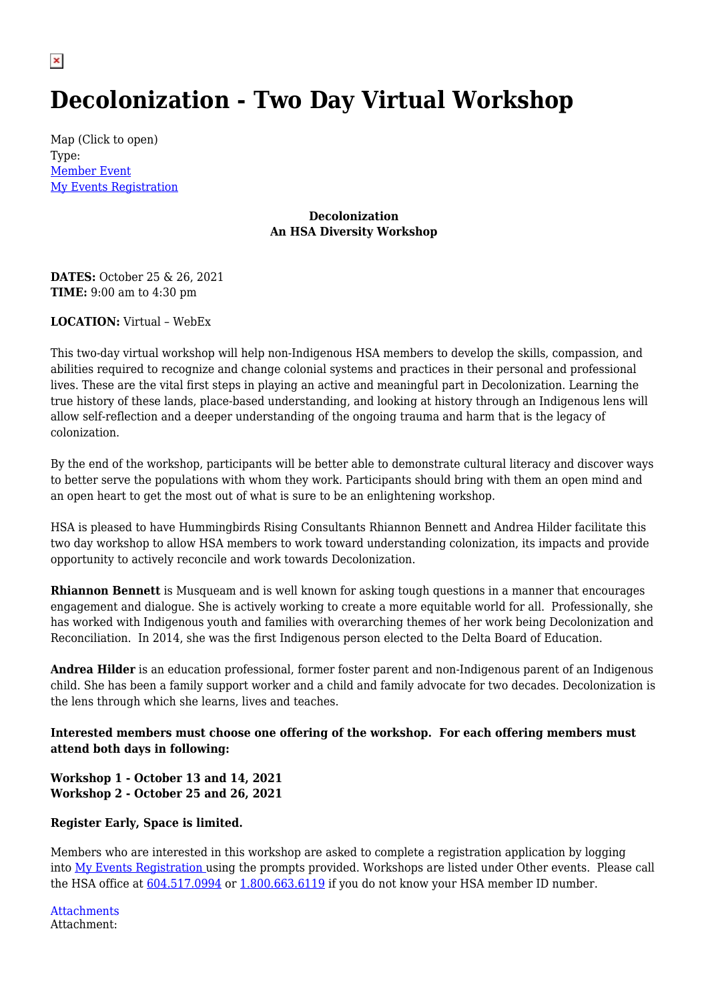## **Decolonization - Two Day Virtual Workshop**

Map (Click to open) Type: [Member Event](http://hsabc.org/event-type/member-event) [My Events Registration](https://events.hsabc.org/)

## **Decolonization An HSA Diversity Workshop**

**DATES:** October 25 & 26, 2021 **TIME:** 9:00 am to 4:30 pm

**LOCATION:** Virtual – WebEx

This two-day virtual workshop will help non-Indigenous HSA members to develop the skills, compassion, and abilities required to recognize and change colonial systems and practices in their personal and professional lives. These are the vital first steps in playing an active and meaningful part in Decolonization. Learning the true history of these lands, place-based understanding, and looking at history through an Indigenous lens will allow self-reflection and a deeper understanding of the ongoing trauma and harm that is the legacy of colonization.

By the end of the workshop, participants will be better able to demonstrate cultural literacy and discover ways to better serve the populations with whom they work. Participants should bring with them an open mind and an open heart to get the most out of what is sure to be an enlightening workshop.

HSA is pleased to have Hummingbirds Rising Consultants Rhiannon Bennett and Andrea Hilder facilitate this two day workshop to allow HSA members to work toward understanding colonization, its impacts and provide opportunity to actively reconcile and work towards Decolonization.

**Rhiannon Bennett** is Musqueam and is well known for asking tough questions in a manner that encourages engagement and dialogue. She is actively working to create a more equitable world for all. Professionally, she has worked with Indigenous youth and families with overarching themes of her work being Decolonization and Reconciliation. In 2014, she was the first Indigenous person elected to the Delta Board of Education.

**Andrea Hilder** is an education professional, former foster parent and non-Indigenous parent of an Indigenous child. She has been a family support worker and a child and family advocate for two decades. Decolonization is the lens through which she learns, lives and teaches.

**Interested members must choose one offering of the workshop. For each offering members must attend both days in following:**

**Workshop 1 - October 13 and 14, 2021 Workshop 2 - October 25 and 26, 2021** 

## **Register Early, Space is limited.**

Members who are interested in this workshop are asked to complete a registration application by logging into [My Events Registration](http://events.hsabc.org/) using the prompts provided. Workshops are listed under Other events. Please call the HSA office at  $604.517.0994$  or  $1.800.663.6119$  if you do not know your HSA member ID number.

Attachment: Attachments